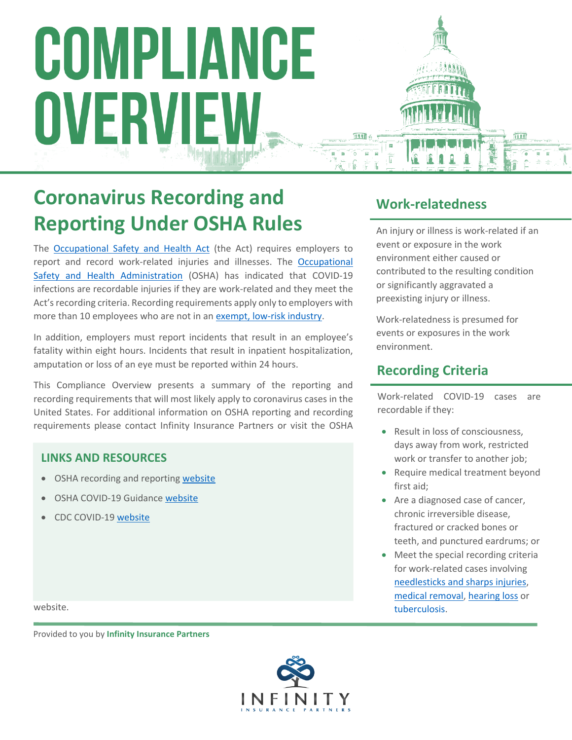# COMPLIANCE OVERVIEW

# **Coronavirus Recording and Reporting Under OSHA Rules**

The [Occupational Safety and Health Act](https://www.osha.gov/laws-regs/oshact/toc) (the Act) requires employers to report and record work-related injuries and illnesses. The [Occupational](https://www.eeoc.gov/)  [Safety and Health Administration](https://www.eeoc.gov/) (OSHA) has indicated that COVID-19 infections are recordable injuries if they are work-related and they meet the Act's recording criteria. Recording requirements apply only to employers with more than 10 employees who are not in an [exempt, low-risk industry.](https://www.osha.gov/recordkeeping/ppt1/RK1exempttable.html)

In addition, employers must report incidents that result in an employee's fatality within eight hours. Incidents that result in inpatient hospitalization, amputation or loss of an eye must be reported within 24 hours.

This Compliance Overview presents a summary of the reporting and recording requirements that will most likely apply to coronavirus cases in the United States. For additional information on OSHA reporting and recording requirements please contact Infinity Insurance Partners or visit the OSHA

#### **LINKS AND RESOURCES**

- OSHA recording and reporting [website](https://www.osha.gov/recordkeeping/)
- OSHA COVID-19 Guidance [website](https://www.osha.gov/SLTC/covid-19/standards.html)
- CDC COVID-19 [website](https://www.cdc.gov/coronavirus/2019-ncov/index.html)

## **Work-relatedness**

An injury or illness is work-related if an event or exposure in the work environment either caused or contributed to the resulting condition or significantly aggravated a preexisting injury or illness.

Work-relatedness is presumed for events or exposures in the work environment.

### **Recording Criteria**

Work-related COVID-19 cases are recordable if they:

- Result in loss of consciousness, days away from work, restricted work or transfer to another job;
- Require medical treatment beyond first aid;
- Are a diagnosed case of cancer, chronic irreversible disease, fractured or cracked bones or teeth, and punctured eardrums; or
- Meet the special recording criteria for work-related cases involving [needlesticks and sharps injuries,](https://www.osha.gov/laws-regs/regulations/standardnumber/1904/1904.8) [medical removal](https://www.osha.gov/laws-regs/regulations/standardnumber/1904/1904.9), [hearing loss](https://www.osha.gov/laws-regs/regulations/standardnumber/1904/1904.10) or [tuberculosis.](https://www.osha.gov/laws-regs/regulations/standardnumber/1904/1904.11)

website.

. Provided to you by **Infinity Insurance Partners**

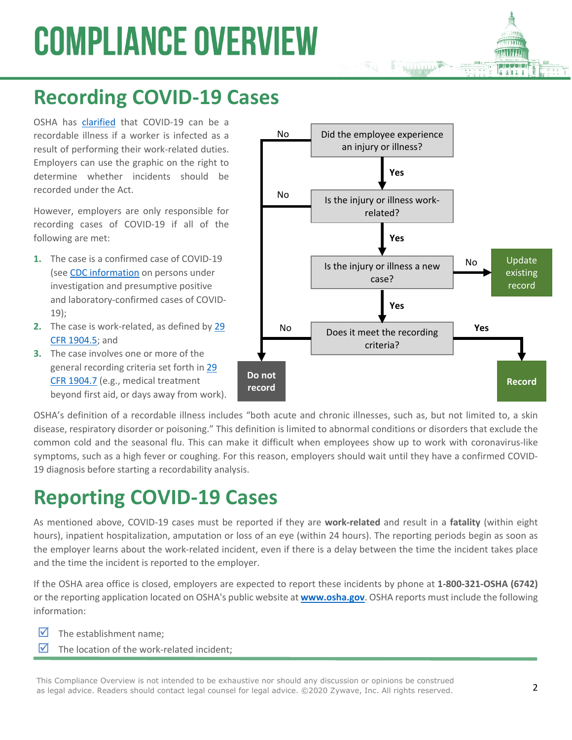# **COMPLIANCE OVERVIEW**

# **Recording COVID-19 Cases**

OSHA has [clarified](https://www.osha.gov/SLTC/covid-19/standards.html) that COVID-19 can be a recordable illness if a worker is infected as a result of performing their work-related duties. Employers can use the graphic on the right to determine whether incidents should be recorded under the Act.

However, employers are only responsible for recording cases of COVID-19 if all of the following are met:

- **1.** The case is a confirmed case of COVID-19 (see [CDC information](https://www.cdc.gov/coronavirus/2019-ncov/php/reporting-pui.html) on persons under investigation and presumptive positive and laboratory-confirmed cases of COVID-19);
- **2.** The case is work-related, as defined by [29](https://www.osha.gov/laws-regs/regulations/standardnumber/1904/1904.5)  [CFR 1904.5](https://www.osha.gov/laws-regs/regulations/standardnumber/1904/1904.5); and
- **3.** The case involves one or more of the general recording criteria set forth in [29](https://www.osha.gov/laws-regs/regulations/standardnumber/1904/1904.7)  [CFR 1904.7](https://www.osha.gov/laws-regs/regulations/standardnumber/1904/1904.7) (e.g., medical treatment beyond first aid, or days away from work).



OSHA's definition of a recordable illness includes "both acute and chronic illnesses, such as, but not limited to, a skin disease, respiratory disorder or poisoning." This definition is limited to abnormal conditions or disorders that exclude the common cold and the seasonal flu. This can make it difficult when employees show up to work with coronavirus-like symptoms, such as a high fever or coughing. For this reason, employers should wait until they have a confirmed COVID-19 diagnosis before starting a recordability analysis.

## **Reporting COVID-19 Cases**

As mentioned above, COVID-19 cases must be reported if they are **work-related** and result in a **fatality** (within eight hours), inpatient hospitalization, amputation or loss of an eye (within 24 hours). The reporting periods begin as soon as the employer learns about the work-related incident, even if there is a delay between the time the incident takes place and the time the incident is reported to the employer.

If the OSHA area office is closed, employers are expected to report these incidents by phone at **1-800-321-OSHA (6742)** or the reporting application located on OSHA's public website at **[www.osha.gov](http://www.osha.gov/)**. OSHA reports must include the following information:

- $\triangledown$  The establishment name:
- $\triangledown$  The location of the work-related incident:

This Compliance Overview is not intended to be exhaustive nor should any discussion or opinions be construed as legal advice. Readers should contact legal counsel for legal advice. ©2020 Zywave, Inc. All rights reserved.